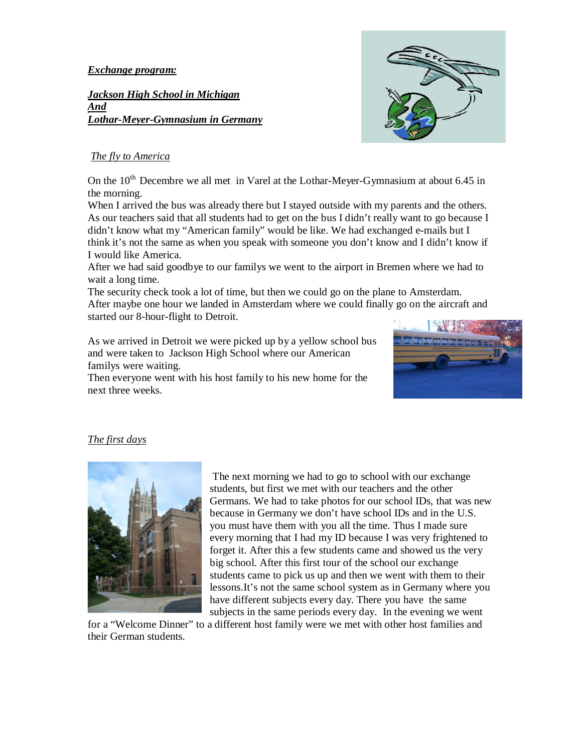*Exchange program:*

*Jackson High School in Michigan And* And *Lothar-Meyer-Gymnasium in Germany* 



## *The fly to America*

On the  $10^{th}$  Decembre we all met in Varel at the Lothar-Meyer-Gymnasium at about 6.45 in the morning.

When I arrived the bus was already there but I stayed outside with my parents and the others. As our teachers said that all students had to get on the bus I didn't really want to go because I didn't know what my "American family" would be like. We had exchanged e-mails but I think it's not the same as when you speak with someone you don't know and I didn't know if I would like America.

After we had said goodbye to our familys we went to the airport in Bremen where we had to wait a long time.

The security check took a lot of time, but then we could go on the plane to Amsterdam. After maybe one hour we landed in Amsterdam where we could finally go on the aircraft and started our 8-hour-flight to Detroit.

As we arrived in Detroit we were picked up by a yellow school bus and were taken to Jackson High School where our American familys were waiting.

Then everyone went with his host family to his new home for the next three weeks.



# *The first days*



 The next morning we had to go to school with our exchange students, but first we met with our teachers and the other Germans. We had to take photos for our school IDs, that was new because in Germany we don't have school IDs and in the U.S. you must have them with you all the time. Thus I made sure every morning that I had my ID because I was very frightened to forget it. After this a few students came and showed us the very big school. After this first tour of the school our exchange students came to pick us up and then we went with them to their lessons.It's not the same school system as in Germany where you have different subjects every day. There you have the same subjects in the same periods every day. In the evening we went

for a "Welcome Dinner" to a different host family were we met with other host families and their German students.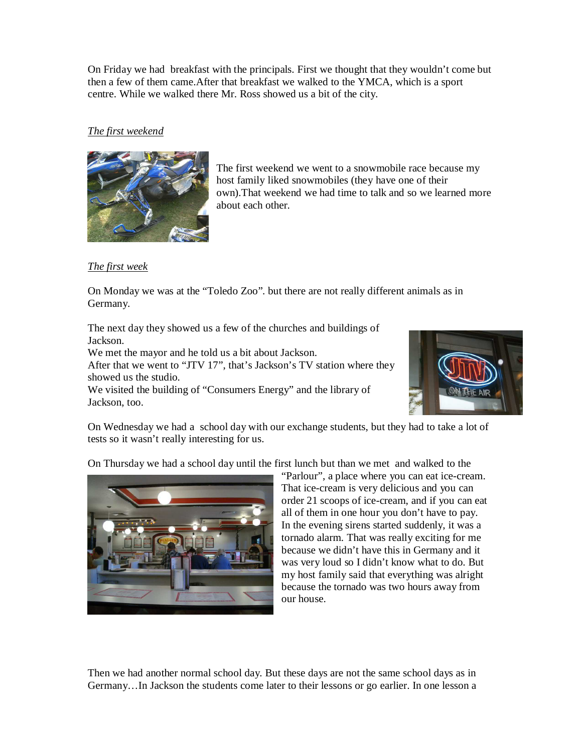On Friday we had breakfast with the principals. First we thought that they wouldn't come but then a few of them came.After that breakfast we walked to the YMCA, which is a sport centre. While we walked there Mr. Ross showed us a bit of the city.

## *The first weekend*



The first weekend we went to a snowmobile race because my host family liked snowmobiles (they have one of their own).That weekend we had time to talk and so we learned more about each other.

## *The first week*

On Monday we was at the "Toledo Zoo". but there are not really different animals as in Germany.

The next day they showed us a few of the churches and buildings of Jackson.

We met the mayor and he told us a bit about Jackson.

After that we went to "JTV 17", that's Jackson's TV station where they showed us the studio.

We visited the building of "Consumers Energy" and the library of Jackson, too.



On Wednesday we had a school day with our exchange students, but they had to take a lot of tests so it wasn't really interesting for us.

On Thursday we had a school day until the first lunch but than we met and walked to the



"Parlour", a place where you can eat ice-cream. That ice-cream is very delicious and you can order 21 scoops of ice-cream, and if you can eat all of them in one hour you don't have to pay. In the evening sirens started suddenly, it was a tornado alarm. That was really exciting for me because we didn't have this in Germany and it was very loud so I didn't know what to do. But my host family said that everything was alright because the tornado was two hours away from our house.

Then we had another normal school day. But these days are not the same school days as in Germany…In Jackson the students come later to their lessons or go earlier. In one lesson a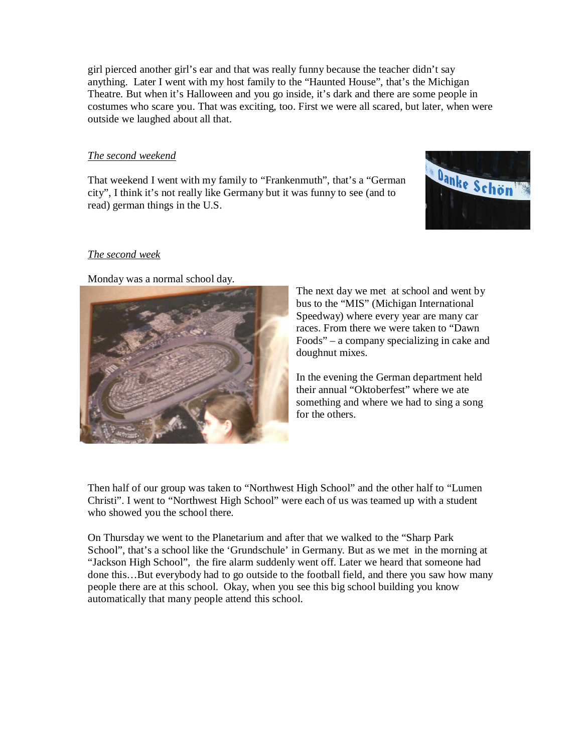girl pierced another girl's ear and that was really funny because the teacher didn't say anything. Later I went with my host family to the "Haunted House", that's the Michigan Theatre. But when it's Halloween and you go inside, it's dark and there are some people in costumes who scare you. That was exciting, too. First we were all scared, but later, when were outside we laughed about all that.

#### *The second weekend*

That weekend I went with my family to "Frankenmuth", that's a "German city", I think it's not really like Germany but it was funny to see (and to read) german things in the U.S.



#### *The second week*

Monday was a normal school day.



The next day we met at school and went by bus to the "MIS" (Michigan International Speedway) where every year are many car races. From there we were taken to "Dawn Foods" – a company specializing in cake and doughnut mixes.

In the evening the German department held their annual "Oktoberfest" where we ate something and where we had to sing a song for the others.

Then half of our group was taken to "Northwest High School" and the other half to "Lumen Christi". I went to "Northwest High School" were each of us was teamed up with a student who showed you the school there.

On Thursday we went to the Planetarium and after that we walked to the "Sharp Park School", that's a school like the 'Grundschule' in Germany. But as we met in the morning at "Jackson High School", the fire alarm suddenly went off. Later we heard that someone had done this…But everybody had to go outside to the football field, and there you saw how many people there are at this school. Okay, when you see this big school building you know automatically that many people attend this school.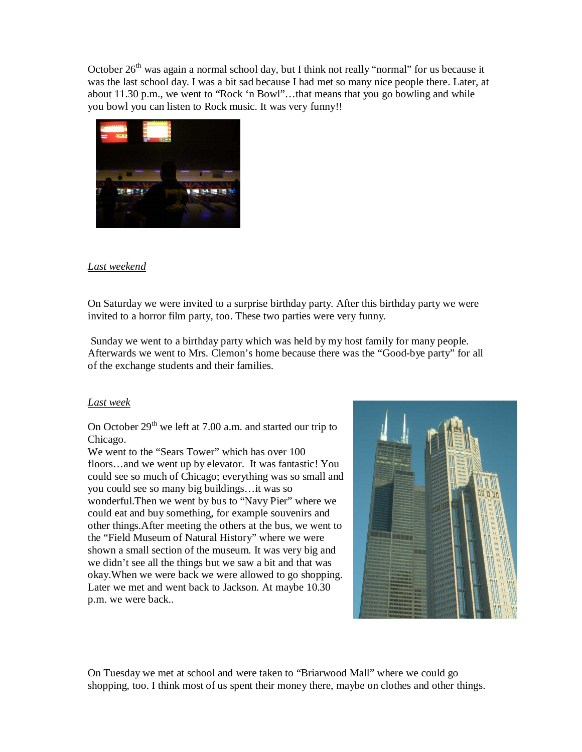October  $26<sup>th</sup>$  was again a normal school day, but I think not really "normal" for us because it was the last school day. I was a bit sad because I had met so many nice people there. Later, at about 11.30 p.m., we went to "Rock 'n Bowl"…that means that you go bowling and while you bowl you can listen to Rock music. It was very funny!!



## *Last weekend*

On Saturday we were invited to a surprise birthday party. After this birthday party we were invited to a horror film party, too. These two parties were very funny.

 Sunday we went to a birthday party which was held by my host family for many people. Afterwards we went to Mrs. Clemon's home because there was the "Good-bye party" for all of the exchange students and their families.

#### *Last week*

On October  $29<sup>th</sup>$  we left at 7.00 a.m. and started our trip to Chicago.

We went to the "Sears Tower" which has over 100 floors…and we went up by elevator. It was fantastic! You could see so much of Chicago; everything was so small and you could see so many big buildings…it was so wonderful.Then we went by bus to "Navy Pier" where we could eat and buy something, for example souvenirs and other things.After meeting the others at the bus, we went to the "Field Museum of Natural History" where we were shown a small section of the museum. It was very big and we didn't see all the things but we saw a bit and that was okay.When we were back we were allowed to go shopping. Later we met and went back to Jackson. At maybe 10.30 p.m. we were back..



On Tuesday we met at school and were taken to "Briarwood Mall" where we could go shopping, too. I think most of us spent their money there, maybe on clothes and other things.